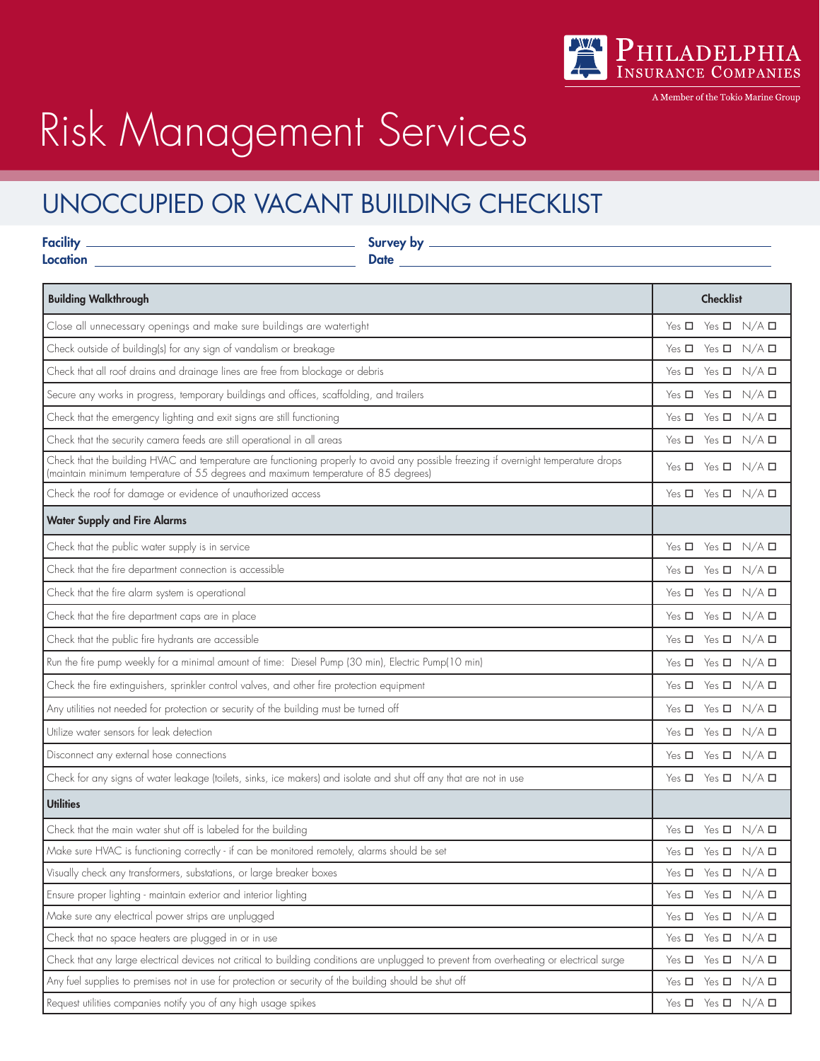

A Member of the Tokio Marine Group

# Risk Management Services

# UNOCCUPIED OR VACANT BUILDING CHECKLIST

| Location <b>Execution Execution Execution Execution</b>                                                                                                                                                                   |  |                                           |                 |
|---------------------------------------------------------------------------------------------------------------------------------------------------------------------------------------------------------------------------|--|-------------------------------------------|-----------------|
| <b>Building Walkthrough</b>                                                                                                                                                                                               |  | <b>Checklist</b>                          |                 |
| Close all unnecessary openings and make sure buildings are watertight                                                                                                                                                     |  | Yes $\square$ Yes $\square$ N/A $\square$ |                 |
| Check outside of building(s) for any sign of vandalism or breakage                                                                                                                                                        |  | Yes $\Box$ Yes $\Box$ N/A $\Box$          |                 |
| Check that all roof drains and drainage lines are free from blockage or debris                                                                                                                                            |  | Yes $\Box$ Yes $\Box$ N/A $\Box$          |                 |
| Secure any works in progress, temporary buildings and offices, scaffolding, and trailers                                                                                                                                  |  | Yes <b>D</b> Yes <b>D</b> N/A <b>D</b>    |                 |
| Check that the emergency lighting and exit signs are still functioning                                                                                                                                                    |  | Yes $\square$ Yes $\square$ N/A $\square$ |                 |
| Check that the security camera feeds are still operational in all areas                                                                                                                                                   |  | Yes $\Box$ Yes $\Box$ N/A $\Box$          |                 |
| Check that the building HVAC and temperature are functioning properly to avoid any possible freezing if overnight temperature drops<br>(maintain minimum temperature of 55 degrees and maximum temperature of 85 degrees) |  | Yes $\Box$ Yes $\Box$ N/A $\Box$          |                 |
| Check the roof for damage or evidence of unauthorized access                                                                                                                                                              |  | Yes $\Box$ Yes $\Box$ N/A $\Box$          |                 |
| <b>Water Supply and Fire Alarms</b>                                                                                                                                                                                       |  |                                           |                 |
| Check that the public water supply is in service                                                                                                                                                                          |  | Yes $\square$ Yes $\square$ N/A $\square$ |                 |
| Check that the fire department connection is accessible                                                                                                                                                                   |  | Yes $\Box$ Yes $\Box$ N/A $\Box$          |                 |
| Check that the fire alarm system is operational                                                                                                                                                                           |  | Yes $\square$ Yes $\square$ N/A $\square$ |                 |
| Check that the fire department caps are in place                                                                                                                                                                          |  | Yes $\square$ Yes $\square$ N/A $\square$ |                 |
| Check that the public fire hydrants are accessible                                                                                                                                                                        |  | Yes $\Box$ Yes $\Box$ N/A $\Box$          |                 |
| Run the fire pump weekly for a minimal amount of time: Diesel Pump (30 min), Electric Pump(10 min)                                                                                                                        |  | Yes $\Box$ Yes $\Box$ N/A $\Box$          |                 |
| Check the fire extinguishers, sprinkler control valves, and other fire protection equipment                                                                                                                               |  | Yes $\Box$ Yes $\Box$ N/A $\Box$          |                 |
| Any utilities not needed for protection or security of the building must be turned off                                                                                                                                    |  | Yes $\Box$ Yes $\Box$ N/A $\Box$          |                 |
| Utilize water sensors for leak detection                                                                                                                                                                                  |  | Yes <b>D</b> Yes <b>D</b> N/A <b>D</b>    |                 |
| Disconnect any external hose connections                                                                                                                                                                                  |  | Yes $\square$ Yes $\square$ N/A $\square$ |                 |
| Check for any signs of water leakage (toilets, sinks, ice makers) and isolate and shut off any that are not in use                                                                                                        |  | Yes <b>D</b> Yes <b>D</b> N/A <b>D</b>    |                 |
| <b>Utilities</b>                                                                                                                                                                                                          |  |                                           |                 |
| Check that the main water shut off is labeled for the building                                                                                                                                                            |  | Yes $\Box$ Yes $\Box$ N/A $\Box$          |                 |
| Make sure HVAC is functioning correctly - if can be monitored remotely, alarms should be set                                                                                                                              |  | Yes $\Box$ Yes $\Box$ N/A $\Box$          |                 |
| Visually check any transformers, substations, or large breaker boxes                                                                                                                                                      |  | Yes $\Box$<br>Yes $\Box$                  | $N/A$ $\square$ |
| Ensure proper lighting - maintain exterior and interior lighting                                                                                                                                                          |  | Yes $\Box$ Yes $\Box$ N/A $\Box$          |                 |
| Make sure any electrical power strips are unplugged                                                                                                                                                                       |  | Yes <b>D</b> Yes <b>D</b> N/A <b>D</b>    |                 |
| Check that no space heaters are plugged in or in use                                                                                                                                                                      |  | Yes $\Box$ N/A $\Box$<br>Yes $\Box$       |                 |
| Check that any large electrical devices not critical to building conditions are unplugged to prevent from overheating or electrical surge                                                                                 |  | Yes $\Box$ Yes $\Box$ N/A $\Box$          |                 |
| Any fuel supplies to premises not in use for protection or security of the building should be shut off                                                                                                                    |  | Yes $\Box$ Yes $\Box$ N/A $\Box$          |                 |
| Request utilities companies notify you of any high usage spikes                                                                                                                                                           |  | Yes $\square$ Yes $\square$ N/A $\square$ |                 |